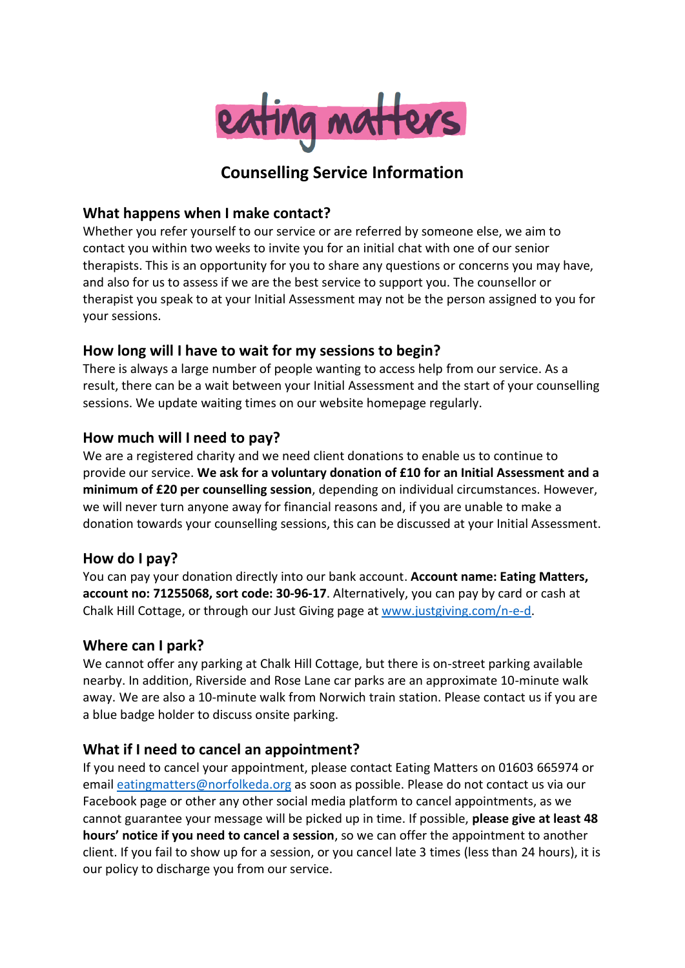

# **Counselling Service Information**

## **What happens when I make contact?**

Whether you refer yourself to our service or are referred by someone else, we aim to contact you within two weeks to invite you for an initial chat with one of our senior therapists. This is an opportunity for you to share any questions or concerns you may have, and also for us to assess if we are the best service to support you. The counsellor or therapist you speak to at your Initial Assessment may not be the person assigned to you for your sessions.

# **How long will I have to wait for my sessions to begin?**

There is always a large number of people wanting to access help from our service. As a result, there can be a wait between your Initial Assessment and the start of your counselling sessions. We update waiting times on our website homepage regularly.

## **How much will I need to pay?**

We are a registered charity and we need client donations to enable us to continue to provide our service. **We ask for a voluntary donation of £10 for an Initial Assessment and a minimum of £20 per counselling session**, depending on individual circumstances. However, we will never turn anyone away for financial reasons and, if you are unable to make a donation towards your counselling sessions, this can be discussed at your Initial Assessment.

#### **How do I pay?**

You can pay your donation directly into our bank account. **Account name: Eating Matters, account no: 71255068, sort code: 30-96-17**. Alternatively, you can pay by card or cash at Chalk Hill Cottage, or through our Just Giving page at [www.justgiving.com/n-e-d.](http://www.justgiving.com/n-e-d)

# **Where can I park?**

We cannot offer any parking at Chalk Hill Cottage, but there is on-street parking available nearby. In addition, Riverside and Rose Lane car parks are an approximate 10-minute walk away. We are also a 10-minute walk from Norwich train station. Please contact us if you are a blue badge holder to discuss onsite parking.

# **What if I need to cancel an appointment?**

If you need to cancel your appointment, please contact Eating Matters on 01603 665974 or email [eatingmatters@norfolkeda.org](mailto:eatingmatters@norfolkeda.org) as soon as possible. Please do not contact us via our Facebook page or other any other social media platform to cancel appointments, as we cannot guarantee your message will be picked up in time. If possible, **please give at least 48 hours' notice if you need to cancel a session**, so we can offer the appointment to another client. If you fail to show up for a session, or you cancel late 3 times (less than 24 hours), it is our policy to discharge you from our service.